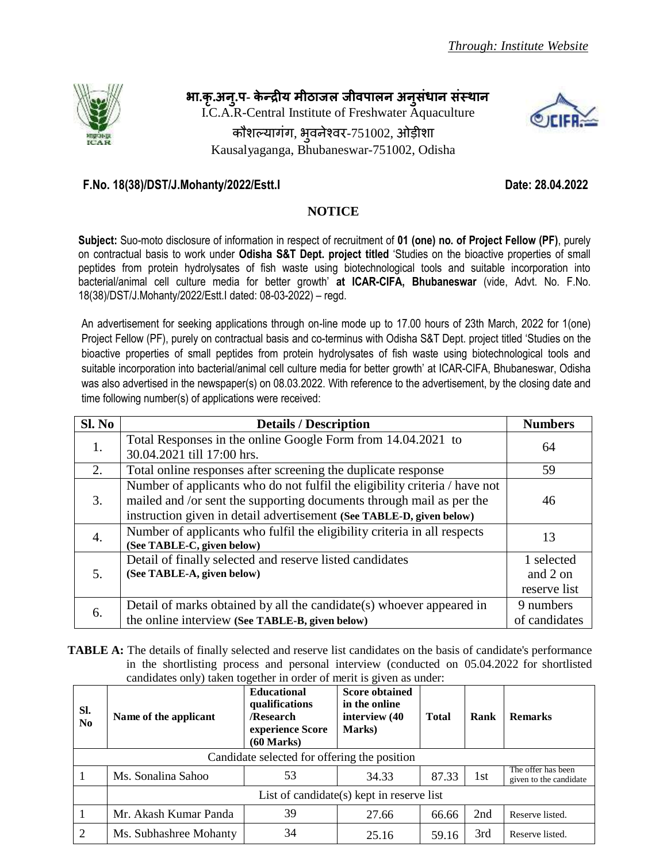**. . .प- प** 

I.C.A.R-Central Institute of Freshwater Aquaculture

कौशल्यागंग, भुवनेश्वर-751002, ओड़ीशा Kausalyaganga, Bhubaneswar-751002, Odisha



## **F.No. 18(38)/DST/J.Mohanty/2022/Estt.I Date: 28.04.2022**

## **NOTICE**

**Subject:** Suo-moto disclosure of information in respect of recruitment of **01 (one) no. of Project Fellow (PF)**, purely on contractual basis to work under **Odisha S&T Dept. project titled** 'Studies on the bioactive properties of small peptides from protein hydrolysates of fish waste using biotechnological tools and suitable incorporation into bacterial/animal cell culture media for better growth' **at ICAR-CIFA, Bhubaneswar** (vide, Advt. No. F.No. 18(38)/DST/J.Mohanty/2022/Estt.I dated: 08-03-2022) – regd.

An advertisement for seeking applications through on-line mode up to 17.00 hours of 23th March, 2022 for 1(one) Project Fellow (PF), purely on contractual basis and co-terminus with Odisha S&T Dept. project titled 'Studies on the bioactive properties of small peptides from protein hydrolysates of fish waste using biotechnological tools and suitable incorporation into bacterial/animal cell culture media for better growth' at ICAR-CIFA, Bhubaneswar, Odisha was also advertised in the newspaper(s) on 08.03.2022. With reference to the advertisement, by the closing date and time following number(s) of applications were received:

| SI. No | <b>Details / Description</b>                                                                                                                                                                                               | <b>Numbers</b>                         |
|--------|----------------------------------------------------------------------------------------------------------------------------------------------------------------------------------------------------------------------------|----------------------------------------|
| 1.     | Total Responses in the online Google Form from 14.04.2021 to<br>30.04.2021 till 17:00 hrs.                                                                                                                                 | 64                                     |
| 2.     | Total online responses after screening the duplicate response                                                                                                                                                              | 59                                     |
| 3.     | Number of applicants who do not fulfil the eligibility criteria / have not<br>mailed and /or sent the supporting documents through mail as per the<br>instruction given in detail advertisement (See TABLE-D, given below) | 46                                     |
| 4.     | Number of applicants who fulfil the eligibility criteria in all respects<br>(See TABLE-C, given below)                                                                                                                     | 13                                     |
| 5.     | Detail of finally selected and reserve listed candidates<br>(See TABLE-A, given below)                                                                                                                                     | 1 selected<br>and 2 on<br>reserve list |
| 6.     | Detail of marks obtained by all the candidate(s) whoever appeared in<br>the online interview (See TABLE-B, given below)                                                                                                    | 9 numbers<br>of candidates             |

**TABLE** A: The details of finally selected and reserve list candidates on the basis of candidate's performance in the shortlisting process and personal interview (conducted on 05.04.2022 for shortlisted candidates only) taken together in order of merit is given as under:

| SI.<br>N <sub>0</sub>                        | Name of the applicant                        | <b>Educational</b><br>qualifications<br>/Research<br>experience Score<br>$(60$ Marks) | <b>Score obtained</b><br>in the online<br>interview (40<br><b>Marks</b> ) | <b>Total</b> | Rank | <b>Remarks</b>                               |
|----------------------------------------------|----------------------------------------------|---------------------------------------------------------------------------------------|---------------------------------------------------------------------------|--------------|------|----------------------------------------------|
| Candidate selected for offering the position |                                              |                                                                                       |                                                                           |              |      |                                              |
|                                              | Ms. Sonalina Sahoo                           | 53                                                                                    | 34.33                                                                     | 87.33        | 1st  | The offer has been<br>given to the candidate |
|                                              | List of candidate $(s)$ kept in reserve list |                                                                                       |                                                                           |              |      |                                              |
|                                              | Mr. Akash Kumar Panda                        | 39                                                                                    | 27.66                                                                     | 66.66        | 2nd  | Reserve listed.                              |
| $\overline{2}$                               | Ms. Subhashree Mohanty                       | 34                                                                                    | 25.16                                                                     | 59.16        | 3rd  | Reserve listed.                              |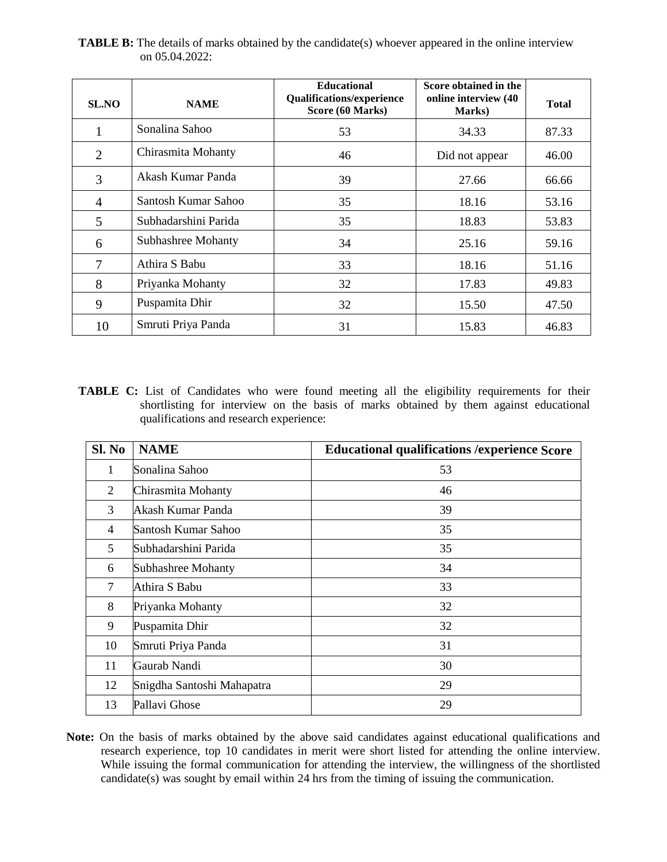| <b>SL.NO</b>   | <b>NAME</b>               | <b>Educational</b><br><b>Qualifications/experience</b><br>Score (60 Marks) | Score obtained in the<br>online interview (40<br>Marks) | <b>Total</b> |
|----------------|---------------------------|----------------------------------------------------------------------------|---------------------------------------------------------|--------------|
|                | Sonalina Sahoo            | 53                                                                         | 34.33                                                   | 87.33        |
| $\overline{2}$ | Chirasmita Mohanty        | 46                                                                         | Did not appear                                          | 46.00        |
| 3              | Akash Kumar Panda         | 39                                                                         | 27.66                                                   | 66.66        |
| $\overline{4}$ | Santosh Kumar Sahoo       | 35                                                                         | 18.16                                                   | 53.16        |
| 5              | Subhadarshini Parida      | 35                                                                         | 18.83                                                   | 53.83        |
| 6              | <b>Subhashree Mohanty</b> | 34                                                                         | 25.16                                                   | 59.16        |
| 7              | Athira S Babu             | 33                                                                         | 18.16                                                   | 51.16        |
| 8              | Priyanka Mohanty          | 32                                                                         | 17.83                                                   | 49.83        |
| 9              | Puspamita Dhir            | 32                                                                         | 15.50                                                   | 47.50        |
| 10             | Smruti Priya Panda        | 31                                                                         | 15.83                                                   | 46.83        |

**TABLE B:** The details of marks obtained by the candidate(s) whoever appeared in the online interview on 05.04.2022:

TABLE C: List of Candidates who were found meeting all the eligibility requirements for their shortlisting for interview on the basis of marks obtained by them against educational qualifications and research experience:

| Sl. No         | <b>NAME</b>                | <b>Educational qualifications / experience Score</b> |
|----------------|----------------------------|------------------------------------------------------|
| 1              | Sonalina Sahoo             | 53                                                   |
| 2              | Chirasmita Mohanty         | 46                                                   |
| 3              | Akash Kumar Panda          | 39                                                   |
| $\overline{4}$ | Santosh Kumar Sahoo        | 35                                                   |
| 5              | Subhadarshini Parida       | 35                                                   |
| 6              | <b>Subhashree Mohanty</b>  | 34                                                   |
| 7              | Athira S Babu              | 33                                                   |
| 8              | Priyanka Mohanty           | 32                                                   |
| 9              | Puspamita Dhir             | 32                                                   |
| 10             | Smruti Priya Panda         | 31                                                   |
| 11             | Gaurab Nandi               | 30                                                   |
| 12             | Snigdha Santoshi Mahapatra | 29                                                   |
| 13             | Pallavi Ghose              | 29                                                   |

**Note:** On the basis of marks obtained by the above said candidates against educational qualifications and research experience, top 10 candidates in merit were short listed for attending the online interview. While issuing the formal communication for attending the interview, the willingness of the shortlisted candidate(s) was sought by email within 24 hrs from the timing of issuing the communication.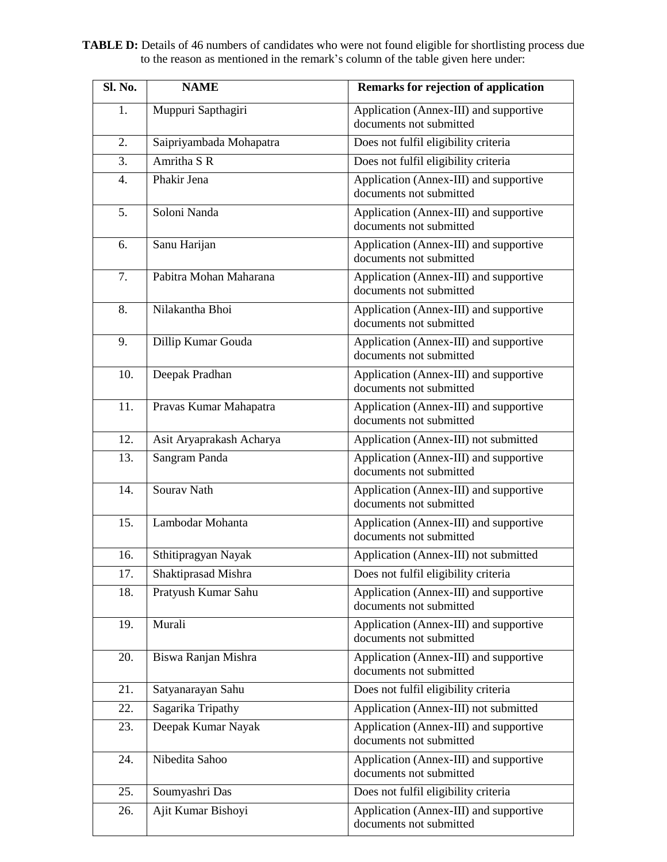**TABLE D:** Details of 46 numbers of candidates who were not found eligible for shortlisting process due to the reason as mentioned in the remark's column of the table given here under:

| Sl. No. | <b>NAME</b>              | Remarks for rejection of application                              |
|---------|--------------------------|-------------------------------------------------------------------|
| 1.      | Muppuri Sapthagiri       | Application (Annex-III) and supportive<br>documents not submitted |
| 2.      | Saipriyambada Mohapatra  | Does not fulfil eligibility criteria                              |
| 3.      | Amritha S R              | Does not fulfil eligibility criteria                              |
| 4.      | Phakir Jena              | Application (Annex-III) and supportive<br>documents not submitted |
| 5.      | Soloni Nanda             | Application (Annex-III) and supportive<br>documents not submitted |
| 6.      | Sanu Harijan             | Application (Annex-III) and supportive<br>documents not submitted |
| 7.      | Pabitra Mohan Maharana   | Application (Annex-III) and supportive<br>documents not submitted |
| 8.      | Nilakantha Bhoi          | Application (Annex-III) and supportive<br>documents not submitted |
| 9.      | Dillip Kumar Gouda       | Application (Annex-III) and supportive<br>documents not submitted |
| 10.     | Deepak Pradhan           | Application (Annex-III) and supportive<br>documents not submitted |
| 11.     | Pravas Kumar Mahapatra   | Application (Annex-III) and supportive<br>documents not submitted |
| 12.     | Asit Aryaprakash Acharya | Application (Annex-III) not submitted                             |
| 13.     | Sangram Panda            | Application (Annex-III) and supportive<br>documents not submitted |
| 14.     | Sourav Nath              | Application (Annex-III) and supportive<br>documents not submitted |
| 15.     | Lambodar Mohanta         | Application (Annex-III) and supportive<br>documents not submitted |
| 16.     | Sthitipragyan Nayak      | Application (Annex-III) not submitted                             |
| 17.     | Shaktiprasad Mishra      | Does not fulfil eligibility criteria                              |
| 18.     | Pratyush Kumar Sahu      | Application (Annex-III) and supportive<br>documents not submitted |
| 19.     | Murali                   | Application (Annex-III) and supportive<br>documents not submitted |
| 20.     | Biswa Ranjan Mishra      | Application (Annex-III) and supportive<br>documents not submitted |
| 21.     | Satyanarayan Sahu        | Does not fulfil eligibility criteria                              |
| 22.     | Sagarika Tripathy        | Application (Annex-III) not submitted                             |
| 23.     | Deepak Kumar Nayak       | Application (Annex-III) and supportive<br>documents not submitted |
| 24.     | Nibedita Sahoo           | Application (Annex-III) and supportive<br>documents not submitted |
| 25.     | Soumyashri Das           | Does not fulfil eligibility criteria                              |
| 26.     | Ajit Kumar Bishoyi       | Application (Annex-III) and supportive<br>documents not submitted |